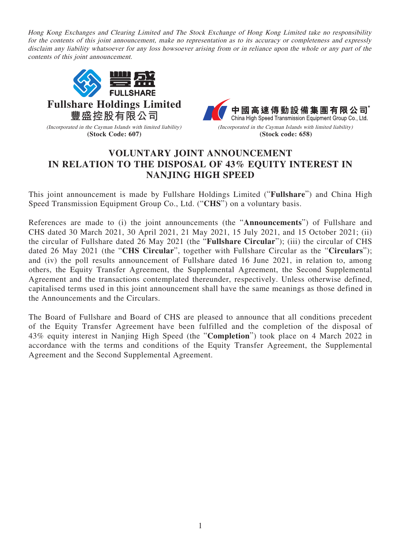Hong Kong Exchanges and Clearing Limited and The Stock Exchange of Hong Kong Limited take no responsibility for the contents of this joint announcement, make no representation as to its accuracy or completeness and expressly disclaim any liability whatsoever for any loss howsoever arising from or in reliance upon the whole or any part of the contents of this joint announcement.



## **VOLUNTARY JOINT ANNOUNCEMENT IN RELATION TO THE DISPOSAL OF 43% EQUITY INTEREST IN NANJING HIGH SPEED**

This joint announcement is made by Fullshare Holdings Limited ("**Fullshare**") and China High Speed Transmission Equipment Group Co., Ltd. ("**CHS**") on a voluntary basis.

References are made to (i) the joint announcements (the "**Announcements**") of Fullshare and CHS dated 30 March 2021, 30 April 2021, 21 May 2021, 15 July 2021, and 15 October 2021; (ii) the circular of Fullshare dated 26 May 2021 (the "**Fullshare Circular**"); (iii) the circular of CHS dated 26 May 2021 (the "**CHS Circular**", together with Fullshare Circular as the "**Circulars**"); and (iv) the poll results announcement of Fullshare dated 16 June 2021, in relation to, among others, the Equity Transfer Agreement, the Supplemental Agreement, the Second Supplemental Agreement and the transactions contemplated thereunder, respectively. Unless otherwise defined, capitalised terms used in this joint announcement shall have the same meanings as those defined in the Announcements and the Circulars.

The Board of Fullshare and Board of CHS are pleased to announce that all conditions precedent of the Equity Transfer Agreement have been fulfilled and the completion of the disposal of 43% equity interest in Nanjing High Speed (the "**Completion**") took place on 4 March 2022 in accordance with the terms and conditions of the Equity Transfer Agreement, the Supplemental Agreement and the Second Supplemental Agreement.